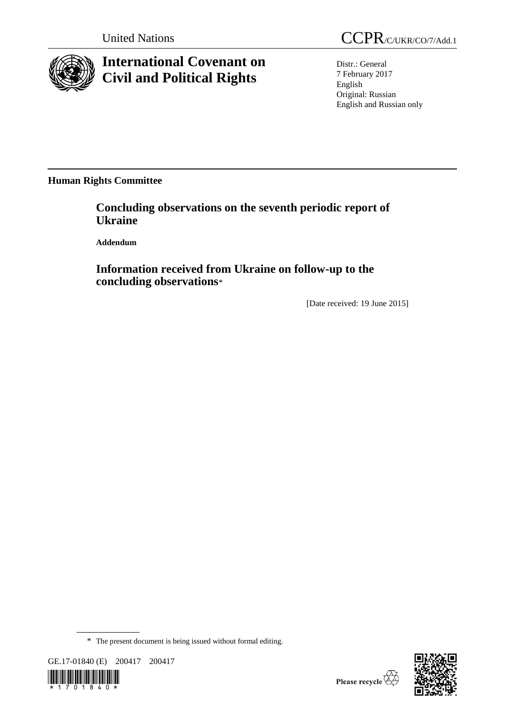

# **International Covenant on Civil and Political Rights**

United Nations CCPR/C/UKR/CO/7/Add.1

Distr.: General 7 February 2017 English Original: Russian English and Russian only

**Human Rights Committee**

**Concluding observations on the seventh periodic report of Ukraine**

**Addendum**

**Information received from Ukraine on follow-up to the concluding observations**\*

[Date received: 19 June 2015]

<sup>\*</sup> The present document is being issued without formal editing.







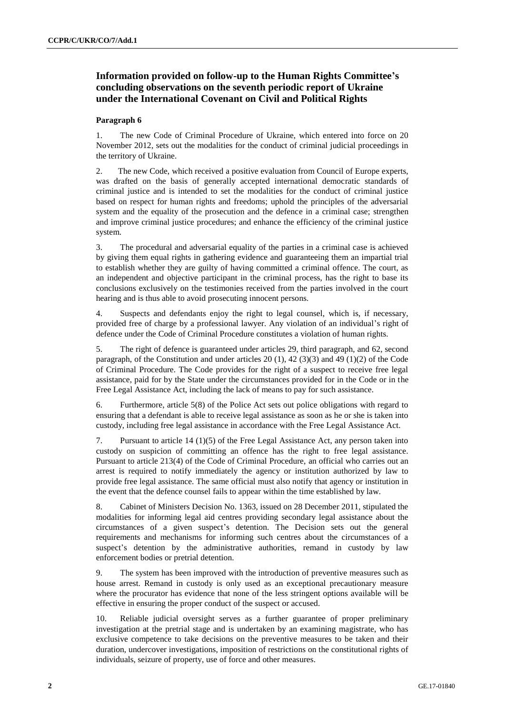## **Information provided on follow-up to the Human Rights Committee's concluding observations on the seventh periodic report of Ukraine under the International Covenant on Civil and Political Rights**

### **Paragraph 6**

1. The new Code of Criminal Procedure of Ukraine, which entered into force on 20 November 2012, sets out the modalities for the conduct of criminal judicial proceedings in the territory of Ukraine.

2. The new Code, which received a positive evaluation from Council of Europe experts, was drafted on the basis of generally accepted international democratic standards of criminal justice and is intended to set the modalities for the conduct of criminal justice based on respect for human rights and freedoms; uphold the principles of the adversarial system and the equality of the prosecution and the defence in a criminal case; strengthen and improve criminal justice procedures; and enhance the efficiency of the criminal justice system.

3. The procedural and adversarial equality of the parties in a criminal case is achieved by giving them equal rights in gathering evidence and guaranteeing them an impartial trial to establish whether they are guilty of having committed a criminal offence. The court, as an independent and objective participant in the criminal process, has the right to base its conclusions exclusively on the testimonies received from the parties involved in the court hearing and is thus able to avoid prosecuting innocent persons.

4. Suspects and defendants enjoy the right to legal counsel, which is, if necessary, provided free of charge by a professional lawyer. Any violation of an individual's right of defence under the Code of Criminal Procedure constitutes a violation of human rights.

5. The right of defence is guaranteed under articles 29, third paragraph, and 62, second paragraph, of the Constitution and under articles 20 $(1)$ , 42 $(3)(3)$  and 49 $(1)(2)$  of the Code of Criminal Procedure. The Code provides for the right of a suspect to receive free legal assistance, paid for by the State under the circumstances provided for in the Code or in the Free Legal Assistance Act, including the lack of means to pay for such assistance.

6. Furthermore, article 5(8) of the Police Act sets out police obligations with regard to ensuring that a defendant is able to receive legal assistance as soon as he or she is taken into custody, including free legal assistance in accordance with the Free Legal Assistance Act.

7. Pursuant to article 14 (1)(5) of the Free Legal Assistance Act, any person taken into custody on suspicion of committing an offence has the right to free legal assistance. Pursuant to article 213(4) of the Code of Criminal Procedure, an official who carries out an arrest is required to notify immediately the agency or institution authorized by law to provide free legal assistance. The same official must also notify that agency or institution in the event that the defence counsel fails to appear within the time established by law.

8. Cabinet of Ministers Decision No. 1363, issued on 28 December 2011, stipulated the modalities for informing legal aid centres providing secondary legal assistance about the circumstances of a given suspect's detention. The Decision sets out the general requirements and mechanisms for informing such centres about the circumstances of a suspect's detention by the administrative authorities, remand in custody by law enforcement bodies or pretrial detention.

9. The system has been improved with the introduction of preventive measures such as house arrest. Remand in custody is only used as an exceptional precautionary measure where the procurator has evidence that none of the less stringent options available will be effective in ensuring the proper conduct of the suspect or accused.

10. Reliable judicial oversight serves as a further guarantee of proper preliminary investigation at the pretrial stage and is undertaken by an examining magistrate, who has exclusive competence to take decisions on the preventive measures to be taken and their duration, undercover investigations, imposition of restrictions on the constitutional rights of individuals, seizure of property, use of force and other measures.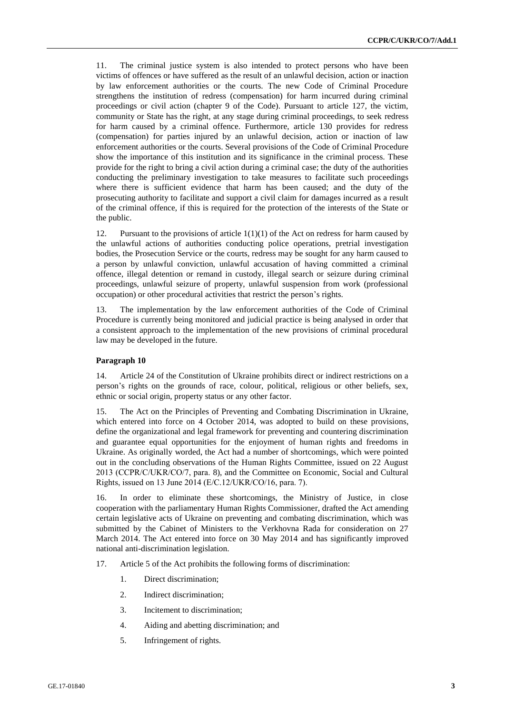11. The criminal justice system is also intended to protect persons who have been victims of offences or have suffered as the result of an unlawful decision, action or inaction by law enforcement authorities or the courts. The new Code of Criminal Procedure strengthens the institution of redress (compensation) for harm incurred during criminal proceedings or civil action (chapter 9 of the Code). Pursuant to article 127, the victim, community or State has the right, at any stage during criminal proceedings, to seek redress for harm caused by a criminal offence. Furthermore, article 130 provides for redress (compensation) for parties injured by an unlawful decision, action or inaction of law enforcement authorities or the courts. Several provisions of the Code of Criminal Procedure show the importance of this institution and its significance in the criminal process. These provide for the right to bring a civil action during a criminal case; the duty of the authorities conducting the preliminary investigation to take measures to facilitate such proceedings where there is sufficient evidence that harm has been caused; and the duty of the prosecuting authority to facilitate and support a civil claim for damages incurred as a result of the criminal offence, if this is required for the protection of the interests of the State or the public.

12. Pursuant to the provisions of article  $1(1)(1)$  of the Act on redress for harm caused by the unlawful actions of authorities conducting police operations, pretrial investigation bodies, the Prosecution Service or the courts, redress may be sought for any harm caused to a person by unlawful conviction, unlawful accusation of having committed a criminal offence, illegal detention or remand in custody, illegal search or seizure during criminal proceedings, unlawful seizure of property, unlawful suspension from work (professional occupation) or other procedural activities that restrict the person's rights.

13. The implementation by the law enforcement authorities of the Code of Criminal Procedure is currently being monitored and judicial practice is being analysed in order that a consistent approach to the implementation of the new provisions of criminal procedural law may be developed in the future.

#### **Paragraph 10**

14. Article 24 of the Constitution of Ukraine prohibits direct or indirect restrictions on a person's rights on the grounds of race, colour, political, religious or other beliefs, sex, ethnic or social origin, property status or any other factor.

15. The Act on the Principles of Preventing and Combating Discrimination in Ukraine, which entered into force on 4 October 2014, was adopted to build on these provisions, define the organizational and legal framework for preventing and countering discrimination and guarantee equal opportunities for the enjoyment of human rights and freedoms in Ukraine. As originally worded, the Act had a number of shortcomings, which were pointed out in the concluding observations of the Human Rights Committee, issued on 22 August 2013 (ССРR/С/UKR/СО/7, para. 8), and the Committee on Economic, Social and Cultural Rights, issued on 13 June 2014 (Е/С.12/UKR/СО/16, para. 7).

16. In order to eliminate these shortcomings, the Ministry of Justice, in close cooperation with the parliamentary Human Rights Commissioner, drafted the Act amending certain legislative acts of Ukraine on preventing and combating discrimination, which was submitted by the Cabinet of Ministers to the Verkhovna Rada for consideration on 27 March 2014. The Act entered into force on 30 May 2014 and has significantly improved national anti-discrimination legislation.

- 17. Article 5 of the Act prohibits the following forms of discrimination:
	- 1. Direct discrimination;
	- 2. Indirect discrimination;
	- 3. Incitement to discrimination;
	- 4. Aiding and abetting discrimination; and
	- 5. Infringement of rights.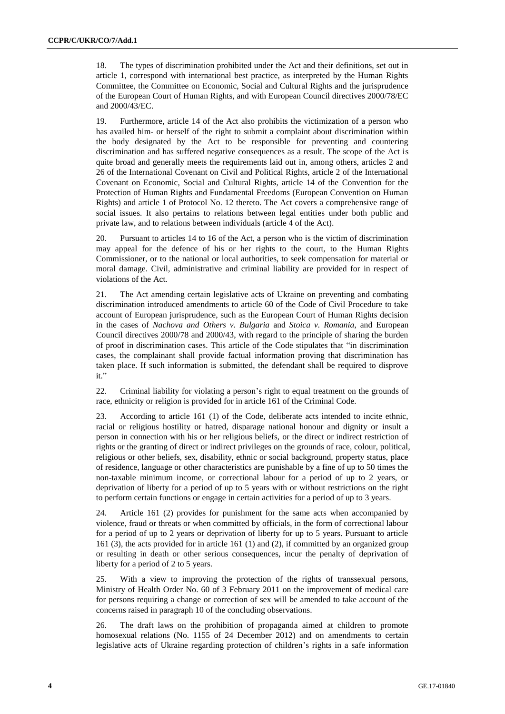18. The types of discrimination prohibited under the Act and their definitions, set out in article 1, correspond with international best practice, as interpreted by the Human Rights Committee, the Committee on Economic, Social and Cultural Rights and the jurisprudence of the European Court of Human Rights, and with European Council directives 2000/78/EC and 2000/43/EC.

19. Furthermore, article 14 of the Act also prohibits the victimization of a person who has availed him- or herself of the right to submit a complaint about discrimination within the body designated by the Act to be responsible for preventing and countering discrimination and has suffered negative consequences as a result. The scope of the Act is quite broad and generally meets the requirements laid out in, among others, articles 2 and 26 of the International Covenant on Civil and Political Rights, article 2 of the International Covenant on Economic, Social and Cultural Rights, article 14 of the Convention for the Protection of Human Rights and Fundamental Freedoms (European Convention on Human Rights) and article 1 of Protocol No. 12 thereto. The Act covers a comprehensive range of social issues. It also pertains to relations between legal entities under both public and private law, and to relations between individuals (article 4 of the Act).

20. Pursuant to articles 14 to 16 of the Act, a person who is the victim of discrimination may appeal for the defence of his or her rights to the court, to the Human Rights Commissioner, or to the national or local authorities, to seek compensation for material or moral damage. Civil, administrative and criminal liability are provided for in respect of violations of the Act.

21. The Act amending certain legislative acts of Ukraine on preventing and combating discrimination introduced amendments to article 60 of the Code of Civil Procedure to take account of European jurisprudence, such as the European Court of Human Rights decision in the cases of *Nachova and Others v. Bulgaria* and *Stoica v. Romania*, and European Council directives 2000/78 and 2000/43, with regard to the principle of sharing the burden of proof in discrimination cases. This article of the Code stipulates that "in discrimination cases, the complainant shall provide factual information proving that discrimination has taken place. If such information is submitted, the defendant shall be required to disprove it."

22. Criminal liability for violating a person's right to equal treatment on the grounds of race, ethnicity or religion is provided for in article 161 of the Criminal Code.

23. According to article 161 (1) of the Code, deliberate acts intended to incite ethnic, racial or religious hostility or hatred, disparage national honour and dignity or insult a person in connection with his or her religious beliefs, or the direct or indirect restriction of rights or the granting of direct or indirect privileges on the grounds of race, colour, political, religious or other beliefs, sex, disability, ethnic or social background, property status, place of residence, language or other characteristics are punishable by a fine of up to 50 times the non-taxable minimum income, or correctional labour for a period of up to 2 years, or deprivation of liberty for a period of up to 5 years with or without restrictions on the right to perform certain functions or engage in certain activities for a period of up to 3 years.

24. Article 161 (2) provides for punishment for the same acts when accompanied by violence, fraud or threats or when committed by officials, in the form of correctional labour for a period of up to 2 years or deprivation of liberty for up to 5 years. Pursuant to article 161 (3), the acts provided for in article 161 (1) and (2), if committed by an organized group or resulting in death or other serious consequences, incur the penalty of deprivation of liberty for a period of 2 to 5 years.

25. With a view to improving the protection of the rights of transsexual persons, Ministry of Health Order No. 60 of 3 February 2011 on the improvement of medical care for persons requiring a change or correction of sex will be amended to take account of the concerns raised in paragraph 10 of the concluding observations.

26. The draft laws on the prohibition of propaganda aimed at children to promote homosexual relations (No. 1155 of 24 December 2012) and on amendments to certain legislative acts of Ukraine regarding protection of children's rights in a safe information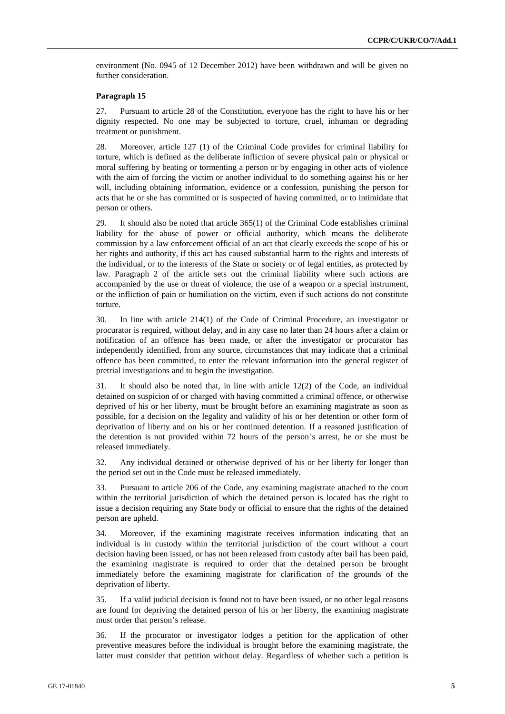environment (No. 0945 of 12 December 2012) have been withdrawn and will be given no further consideration.

#### **Paragraph 15**

27. Pursuant to article 28 of the Constitution, everyone has the right to have his or her dignity respected. No one may be subjected to torture, cruel, inhuman or degrading treatment or punishment.

28. Moreover, article 127 (1) of the Criminal Code provides for criminal liability for torture, which is defined as the deliberate infliction of severe physical pain or physical or moral suffering by beating or tormenting a person or by engaging in other acts of violence with the aim of forcing the victim or another individual to do something against his or her will, including obtaining information, evidence or a confession, punishing the person for acts that he or she has committed or is suspected of having committed, or to intimidate that person or others.

29. It should also be noted that article 365(1) of the Criminal Code establishes criminal liability for the abuse of power or official authority, which means the deliberate commission by a law enforcement official of an act that clearly exceeds the scope of his or her rights and authority, if this act has caused substantial harm to the rights and interests of the individual, or to the interests of the State or society or of legal entities, as protected by law. Paragraph 2 of the article sets out the criminal liability where such actions are accompanied by the use or threat of violence, the use of a weapon or a special instrument, or the infliction of pain or humiliation on the victim, even if such actions do not constitute torture.

30. In line with article 214(1) of the Code of Criminal Procedure, an investigator or procurator is required, without delay, and in any case no later than 24 hours after a claim or notification of an offence has been made, or after the investigator or procurator has independently identified, from any source, circumstances that may indicate that a criminal offence has been committed, to enter the relevant information into the general register of pretrial investigations and to begin the investigation.

31. It should also be noted that, in line with article 12(2) of the Code, an individual detained on suspicion of or charged with having committed a criminal offence, or otherwise deprived of his or her liberty, must be brought before an examining magistrate as soon as possible, for a decision on the legality and validity of his or her detention or other form of deprivation of liberty and on his or her continued detention. If a reasoned justification of the detention is not provided within 72 hours of the person's arrest, he or she must be released immediately.

32. Any individual detained or otherwise deprived of his or her liberty for longer than the period set out in the Code must be released immediately.

33. Pursuant to article 206 of the Code, any examining magistrate attached to the court within the territorial jurisdiction of which the detained person is located has the right to issue a decision requiring any State body or official to ensure that the rights of the detained person are upheld.

34. Moreover, if the examining magistrate receives information indicating that an individual is in custody within the territorial jurisdiction of the court without a court decision having been issued, or has not been released from custody after bail has been paid, the examining magistrate is required to order that the detained person be brought immediately before the examining magistrate for clarification of the grounds of the deprivation of liberty.

35. If a valid judicial decision is found not to have been issued, or no other legal reasons are found for depriving the detained person of his or her liberty, the examining magistrate must order that person's release.

36. If the procurator or investigator lodges a petition for the application of other preventive measures before the individual is brought before the examining magistrate, the latter must consider that petition without delay. Regardless of whether such a petition is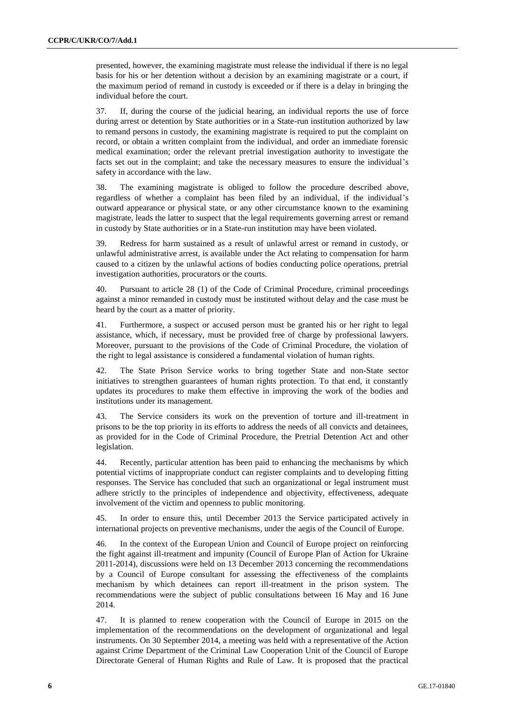presented, however, the examining magistrate must release the individual if there is no legal basis for his or her detention without a decision by an examining magistrate or a court, if the maximum period of remand in custody is exceeded or if there is a delay in bringing the individual before the court.

37. If, during the course of the judicial hearing, an individual reports the use of force during arrest or detention by State authorities or in a State-run institution authorized by law to remand persons in custody, the examining magistrate is required to put the complaint on record, or obtain a written complaint from the individual, and order an immediate forensic medical examination; order the relevant pretrial investigation authority to investigate the facts set out in the complaint; and take the necessary measures to ensure the individual's safety in accordance with the law.

38. The examining magistrate is obliged to follow the procedure described above, regardless of whether a complaint has been filed by an individual, if the individual's outward appearance or physical state, or any other circumstance known to the examining magistrate, leads the latter to suspect that the legal requirements governing arrest or remand in custody by State authorities or in a State-run institution may have been violated.

39. Redress for harm sustained as a result of unlawful arrest or remand in custody, or unlawful administrative arrest, is available under the Act relating to compensation for harm caused to a citizen by the unlawful actions of bodies conducting police operations, pretrial investigation authorities, procurators or the courts.

40. Pursuant to article 28 (1) of the Code of Criminal Procedure, criminal proceedings against a minor remanded in custody must be instituted without delay and the case must be heard by the court as a matter of priority.

41. Furthermore, a suspect or accused person must be granted his or her right to legal assistance, which, if necessary, must be provided free of charge by professional lawyers. Moreover, pursuant to the provisions of the Code of Criminal Procedure, the violation of the right to legal assistance is considered a fundamental violation of human rights.

42. The State Prison Service works to bring together State and non-State sector initiatives to strengthen guarantees of human rights protection. To that end, it constantly updates its procedures to make them effective in improving the work of the bodies and institutions under its management.

43. The Service considers its work on the prevention of torture and ill-treatment in prisons to be the top priority in its efforts to address the needs of all convicts and detainees, as provided for in the Code of Criminal Procedure, the Pretrial Detention Act and other legislation.

44. Recently, particular attention has been paid to enhancing the mechanisms by which potential victims of inappropriate conduct can register complaints and to developing fitting responses. The Service has concluded that such an organizational or legal instrument must adhere strictly to the principles of independence and objectivity, effectiveness, adequate involvement of the victim and openness to public monitoring.

45. In order to ensure this, until December 2013 the Service participated actively in international projects on preventive mechanisms, under the aegis of the Council of Europe.

46. In the context of the European Union and Council of Europe project on reinforcing the fight against ill-treatment and impunity (Council of Europe Plan of Action for Ukraine 2011-2014), discussions were held on 13 December 2013 concerning the recommendations by a Council of Europe consultant for assessing the effectiveness of the complaints mechanism by which detainees can report ill-treatment in the prison system. The recommendations were the subject of public consultations between 16 May and 16 June 2014.

47. It is planned to renew cooperation with the Council of Europe in 2015 on the implementation of the recommendations on the development of organizational and legal instruments. On 30 September 2014, a meeting was held with a representative of the Action against Crime Department of the Criminal Law Cooperation Unit of the Council of Europe Directorate General of Human Rights and Rule of Law. It is proposed that the practical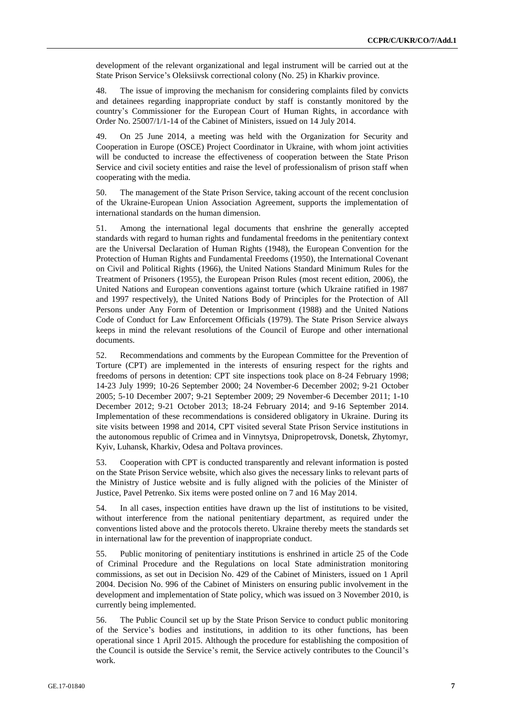development of the relevant organizational and legal instrument will be carried out at the State Prison Service's Oleksiivsk correctional colony (No. 25) in Kharkiv province.

48. The issue of improving the mechanism for considering complaints filed by convicts and detainees regarding inappropriate conduct by staff is constantly monitored by the country's Commissioner for the European Court of Human Rights, in accordance with Order No. 25007/1/1-14 of the Cabinet of Ministers, issued on 14 July 2014.

49. On 25 June 2014, a meeting was held with the Organization for Security and Cooperation in Europe (OSCE) Project Coordinator in Ukraine, with whom joint activities will be conducted to increase the effectiveness of cooperation between the State Prison Service and civil society entities and raise the level of professionalism of prison staff when cooperating with the media.

50. The management of the State Prison Service, taking account of the recent conclusion of the Ukraine-European Union Association Agreement, supports the implementation of international standards on the human dimension.

51. Among the international legal documents that enshrine the generally accepted standards with regard to human rights and fundamental freedoms in the penitentiary context are the Universal Declaration of Human Rights (1948), the European Convention for the Protection of Human Rights and Fundamental Freedoms (1950), the International Covenant on Civil and Political Rights (1966), the United Nations Standard Minimum Rules for the Treatment of Prisoners (1955), the European Prison Rules (most recent edition, 2006), the United Nations and European conventions against torture (which Ukraine ratified in 1987 and 1997 respectively), the United Nations Body of Principles for the Protection of All Persons under Any Form of Detention or Imprisonment (1988) and the United Nations Code of Conduct for Law Enforcement Officials (1979). The State Prison Service always keeps in mind the relevant resolutions of the Council of Europe and other international documents.

52. Recommendations and comments by the European Committee for the Prevention of Torture (CPT) are implemented in the interests of ensuring respect for the rights and freedoms of persons in detention: CPT site inspections took place on 8-24 February 1998; 14-23 July 1999; 10-26 September 2000; 24 November-6 December 2002; 9-21 October 2005; 5-10 December 2007; 9-21 September 2009; 29 November-6 December 2011; 1-10 December 2012; 9-21 October 2013; 18-24 February 2014; and 9-16 September 2014. Implementation of these recommendations is considered obligatory in Ukraine. During its site visits between 1998 and 2014, CPT visited several State Prison Service institutions in the autonomous republic of Crimea and in Vinnytsya, Dnipropetrovsk, Donetsk, Zhytomyr, Kyiv, Luhansk, Kharkiv, Odesa and Poltava provinces.

53. Cooperation with CPT is conducted transparently and relevant information is posted on the State Prison Service website, which also gives the necessary links to relevant parts of the Ministry of Justice website and is fully aligned with the policies of the Minister of Justice, Pavel Petrenko. Six items were posted online on 7 and 16 May 2014.

54. In all cases, inspection entities have drawn up the list of institutions to be visited, without interference from the national penitentiary department, as required under the conventions listed above and the protocols thereto. Ukraine thereby meets the standards set in international law for the prevention of inappropriate conduct.

55. Public monitoring of penitentiary institutions is enshrined in article 25 of the Code of Criminal Procedure and the Regulations on local State administration monitoring commissions, as set out in Decision No. 429 of the Cabinet of Ministers, issued on 1 April 2004. Decision No. 996 of the Cabinet of Ministers on ensuring public involvement in the development and implementation of State policy, which was issued on 3 November 2010, is currently being implemented.

56. The Public Council set up by the State Prison Service to conduct public monitoring of the Service's bodies and institutions, in addition to its other functions, has been operational since 1 April 2015. Although the procedure for establishing the composition of the Council is outside the Service's remit, the Service actively contributes to the Council's work.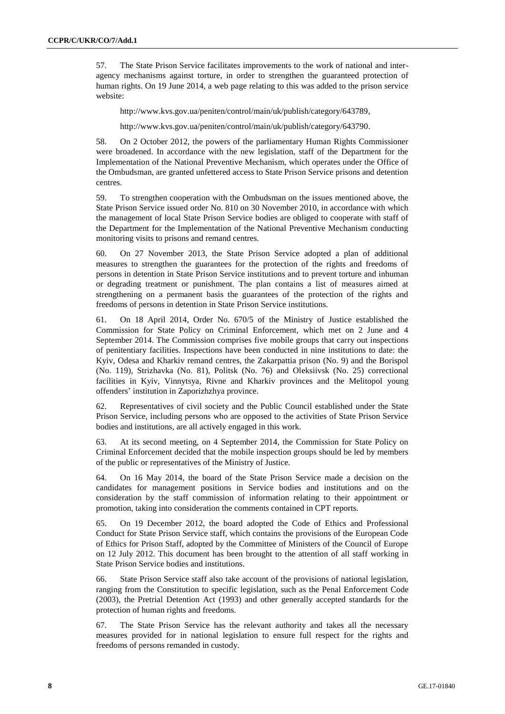57. The State Prison Service facilitates improvements to the work of national and interagency mechanisms against torture, in order to strengthen the guaranteed protection of human rights. On 19 June 2014, a web page relating to this was added to the prison service website:

http://www.kvs.gov.ua/peniten/control/main/uk/publish/category/643789,

http://www.kvs.gov.ua/peniten/control/main/uk/publish/category/643790.

58. On 2 October 2012, the powers of the parliamentary Human Rights Commissioner were broadened. In accordance with the new legislation, staff of the Department for the Implementation of the National Preventive Mechanism, which operates under the Office of the Ombudsman, are granted unfettered access to State Prison Service prisons and detention centres.

59. To strengthen cooperation with the Ombudsman on the issues mentioned above, the State Prison Service issued order No. 810 on 30 November 2010, in accordance with which the management of local State Prison Service bodies are obliged to cooperate with staff of the Department for the Implementation of the National Preventive Mechanism conducting monitoring visits to prisons and remand centres.

60. On 27 November 2013, the State Prison Service adopted a plan of additional measures to strengthen the guarantees for the protection of the rights and freedoms of persons in detention in State Prison Service institutions and to prevent torture and inhuman or degrading treatment or punishment. The plan contains a list of measures aimed at strengthening on a permanent basis the guarantees of the protection of the rights and freedoms of persons in detention in State Prison Service institutions.

61. On 18 April 2014, Order No. 670/5 of the Ministry of Justice established the Commission for State Policy on Criminal Enforcement, which met on 2 June and 4 September 2014. The Commission comprises five mobile groups that carry out inspections of penitentiary facilities. Inspections have been conducted in nine institutions to date: the Kyiv, Odesa and Kharkiv remand centres, the Zakarpattia prison (No. 9) and the Borispol (No. 119), Strizhavka (No. 81), Politsk (No. 76) and Oleksiivsk (No. 25) correctional facilities in Kyiv, Vinnytsya, Rivne and Kharkiv provinces and the Melitopol young offenders' institution in Zaporizhzhya province.

62. Representatives of civil society and the Public Council established under the State Prison Service, including persons who are opposed to the activities of State Prison Service bodies and institutions, are all actively engaged in this work.

63. At its second meeting, on 4 September 2014, the Commission for State Policy on Criminal Enforcement decided that the mobile inspection groups should be led by members of the public or representatives of the Ministry of Justice.

64. On 16 May 2014, the board of the State Prison Service made a decision on the candidates for management positions in Service bodies and institutions and on the consideration by the staff commission of information relating to their appointment or promotion, taking into consideration the comments contained in CPT reports.

65. On 19 December 2012, the board adopted the Code of Ethics and Professional Conduct for State Prison Service staff, which contains the provisions of the European Code of Ethics for Prison Staff, adopted by the Committee of Ministers of the Council of Europe on 12 July 2012. This document has been brought to the attention of all staff working in State Prison Service bodies and institutions.

66. State Prison Service staff also take account of the provisions of national legislation, ranging from the Constitution to specific legislation, such as the Penal Enforcement Code (2003), the Pretrial Detention Act (1993) and other generally accepted standards for the protection of human rights and freedoms.

67. The State Prison Service has the relevant authority and takes all the necessary measures provided for in national legislation to ensure full respect for the rights and freedoms of persons remanded in custody.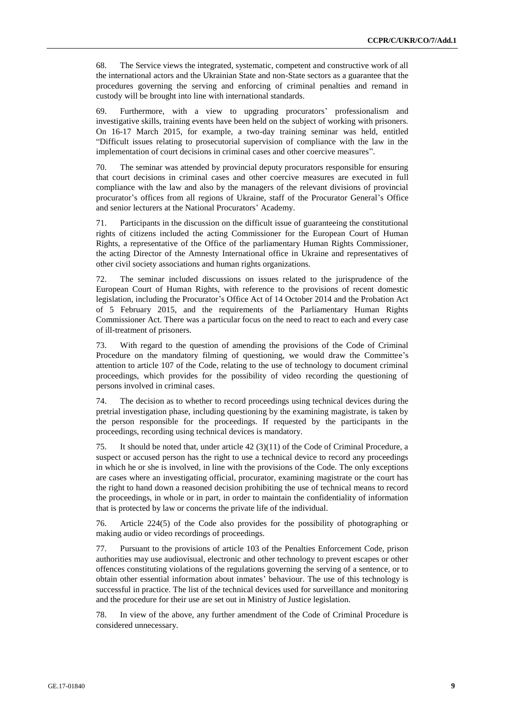68. The Service views the integrated, systematic, competent and constructive work of all the international actors and the Ukrainian State and non-State sectors as a guarantee that the procedures governing the serving and enforcing of criminal penalties and remand in custody will be brought into line with international standards.

69. Furthermore, with a view to upgrading procurators' professionalism and investigative skills, training events have been held on the subject of working with prisoners. On 16-17 March 2015, for example, a two-day training seminar was held, entitled "Difficult issues relating to prosecutorial supervision of compliance with the law in the implementation of court decisions in criminal cases and other coercive measures".

70. The seminar was attended by provincial deputy procurators responsible for ensuring that court decisions in criminal cases and other coercive measures are executed in full compliance with the law and also by the managers of the relevant divisions of provincial procurator's offices from all regions of Ukraine, staff of the Procurator General's Office and senior lecturers at the National Procurators' Academy.

71. Participants in the discussion on the difficult issue of guaranteeing the constitutional rights of citizens included the acting Commissioner for the European Court of Human Rights, a representative of the Office of the parliamentary Human Rights Commissioner, the acting Director of the Amnesty International office in Ukraine and representatives of other civil society associations and human rights organizations.

72. The seminar included discussions on issues related to the jurisprudence of the European Court of Human Rights, with reference to the provisions of recent domestic legislation, including the Procurator's Office Act of 14 October 2014 and the Probation Act of 5 February 2015, and the requirements of the Parliamentary Human Rights Commissioner Act. There was a particular focus on the need to react to each and every case of ill-treatment of prisoners.

73. With regard to the question of amending the provisions of the Code of Criminal Procedure on the mandatory filming of questioning, we would draw the Committee's attention to article 107 of the Code, relating to the use of technology to document criminal proceedings, which provides for the possibility of video recording the questioning of persons involved in criminal cases.

74. The decision as to whether to record proceedings using technical devices during the pretrial investigation phase, including questioning by the examining magistrate, is taken by the person responsible for the proceedings. If requested by the participants in the proceedings, recording using technical devices is mandatory.

75. It should be noted that, under article 42 (3)(11) of the Code of Criminal Procedure, a suspect or accused person has the right to use a technical device to record any proceedings in which he or she is involved, in line with the provisions of the Code. The only exceptions are cases where an investigating official, procurator, examining magistrate or the court has the right to hand down a reasoned decision prohibiting the use of technical means to record the proceedings, in whole or in part, in order to maintain the confidentiality of information that is protected by law or concerns the private life of the individual.

76. Article 224(5) of the Code also provides for the possibility of photographing or making audio or video recordings of proceedings.

77. Pursuant to the provisions of article 103 of the Penalties Enforcement Code, prison authorities may use audiovisual, electronic and other technology to prevent escapes or other offences constituting violations of the regulations governing the serving of a sentence, or to obtain other essential information about inmates' behaviour. The use of this technology is successful in practice. The list of the technical devices used for surveillance and monitoring and the procedure for their use are set out in Ministry of Justice legislation.

78. In view of the above, any further amendment of the Code of Criminal Procedure is considered unnecessary.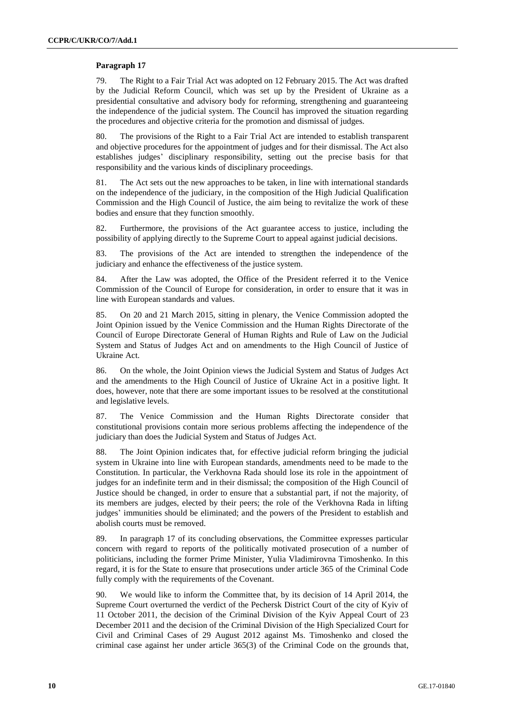#### **Paragraph 17**

79. The Right to a Fair Trial Act was adopted on 12 February 2015. The Act was drafted by the Judicial Reform Council, which was set up by the President of Ukraine as a presidential consultative and advisory body for reforming, strengthening and guaranteeing the independence of the judicial system. The Council has improved the situation regarding the procedures and objective criteria for the promotion and dismissal of judges.

80. The provisions of the Right to a Fair Trial Act are intended to establish transparent and objective procedures for the appointment of judges and for their dismissal. The Act also establishes judges' disciplinary responsibility, setting out the precise basis for that responsibility and the various kinds of disciplinary proceedings.

81. The Act sets out the new approaches to be taken, in line with international standards on the independence of the judiciary, in the composition of the High Judicial Qualification Commission and the High Council of Justice, the aim being to revitalize the work of these bodies and ensure that they function smoothly.

82. Furthermore, the provisions of the Act guarantee access to justice, including the possibility of applying directly to the Supreme Court to appeal against judicial decisions.

83. The provisions of the Act are intended to strengthen the independence of the judiciary and enhance the effectiveness of the justice system.

84. After the Law was adopted, the Office of the President referred it to the Venice Commission of the Council of Europe for consideration, in order to ensure that it was in line with European standards and values.

85. On 20 and 21 March 2015, sitting in plenary, the Venice Commission adopted the Joint Opinion issued by the Venice Commission and the Human Rights Directorate of the Council of Europe Directorate General of Human Rights and Rule of Law on the Judicial System and Status of Judges Act and on amendments to the High Council of Justice of Ukraine Act.

86. On the whole, the Joint Opinion views the Judicial System and Status of Judges Act and the amendments to the High Council of Justice of Ukraine Act in a positive light. It does, however, note that there are some important issues to be resolved at the constitutional and legislative levels.

87. The Venice Commission and the Human Rights Directorate consider that constitutional provisions contain more serious problems affecting the independence of the judiciary than does the Judicial System and Status of Judges Act.

88. The Joint Opinion indicates that, for effective judicial reform bringing the judicial system in Ukraine into line with European standards, amendments need to be made to the Constitution. In particular, the Verkhovna Rada should lose its role in the appointment of judges for an indefinite term and in their dismissal; the composition of the High Council of Justice should be changed, in order to ensure that a substantial part, if not the majority, of its members are judges, elected by their peers; the role of the Verkhovna Rada in lifting judges' immunities should be eliminated; and the powers of the President to establish and abolish courts must be removed.

89. In paragraph 17 of its concluding observations, the Committee expresses particular concern with regard to reports of the politically motivated prosecution of a number of politicians, including the former Prime Minister, Yulia Vladimirovna Timoshenko. In this regard, it is for the State to ensure that prosecutions under article 365 of the Criminal Code fully comply with the requirements of the Covenant.

90. We would like to inform the Committee that, by its decision of 14 April 2014, the Supreme Court overturned the verdict of the Pechersk District Court of the city of Kyiv of 11 October 2011, the decision of the Criminal Division of the Kyiv Appeal Court of 23 December 2011 and the decision of the Criminal Division of the High Specialized Court for Civil and Criminal Cases of 29 August 2012 against Ms. Timoshenko and closed the criminal case against her under article 365(3) of the Criminal Code on the grounds that,